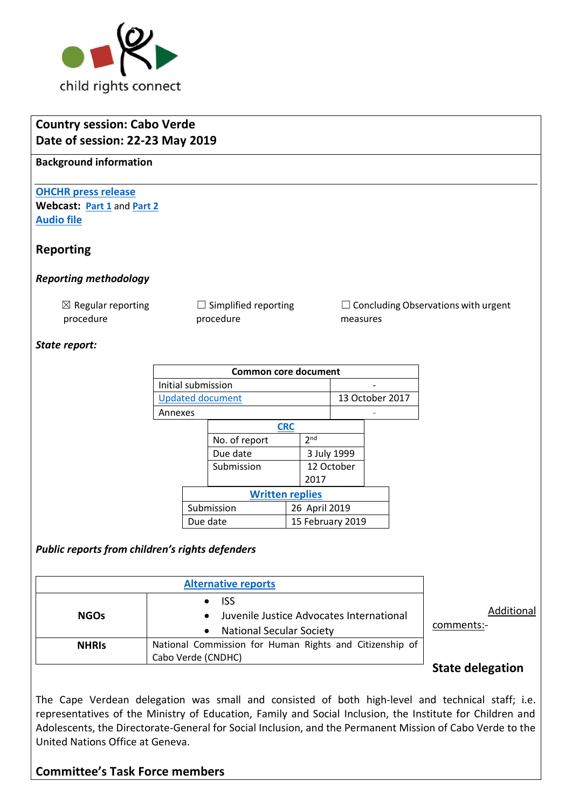

# **Country session: Cabo Verde Date of session: 22-23 May 2019**

**Background information**

**[OHCHR press release](https://www.ohchr.org/EN/NewsEvents/Pages/DisplayNews.aspx?NewsID=24645&LangID=E) Webcast: [Part 1](http://webtv.un.org/meetings-events/human-rights-treaty-bodies/committee-on-the-rights-of-the-child/81st-session/watch/consideration-of-cabo-verde-2386th-meeting-81st-session-committee-on-the-rights-of-the-child/6040585445001/?term=)** and **[Part 2](http://webtv.un.org/meetings-events/human-rights-treaty-bodies/committee-on-the-rights-of-the-child/81st-session/watch/consideration-of-cabo-verde-contd-2387th-meeting-81st-session-committee-on-the-rights-of-the-child/6040306230001/?term=) [Audio file](https://conf.unog.ch/digitalrecordings/)**

# **Reporting**

## *Reporting methodology*

 $\boxtimes$  Regular reporting procedure

 $\Box$  Simplified reporting procedure

 $\Box$  Concluding Observations with urgent measures

### *State report:*

| <b>Common core document</b> |                        |               |                  |                 |                 |  |  |  |
|-----------------------------|------------------------|---------------|------------------|-----------------|-----------------|--|--|--|
| Initial submission          |                        |               |                  |                 |                 |  |  |  |
| <b>Updated document</b>     |                        |               |                  |                 | 13 October 2017 |  |  |  |
| Annexes                     |                        |               |                  |                 |                 |  |  |  |
|                             |                        | <b>CRC</b>    |                  |                 |                 |  |  |  |
|                             |                        | No. of report |                  | 2 <sub>nd</sub> |                 |  |  |  |
|                             |                        | Due date      |                  |                 | 3 July 1999     |  |  |  |
|                             |                        | Submission    |                  |                 | 12 October      |  |  |  |
|                             |                        |               |                  | 2017            |                 |  |  |  |
|                             | <b>Written replies</b> |               |                  |                 |                 |  |  |  |
|                             | Submission             |               | 26 April 2019    |                 |                 |  |  |  |
|                             | Due date               |               | 15 February 2019 |                 |                 |  |  |  |

## *Public reports from children's rights defenders*

| <b>NGOs</b>  | $\bullet$ ISS<br>Juvenile Justice Advocates International<br>$\bullet$<br><b>National Secular Society</b><br>$\bullet$ | Additional<br>comments:- |
|--------------|------------------------------------------------------------------------------------------------------------------------|--------------------------|
| <b>NHRIS</b> | National Commission for Human Rights and Citizenship of<br>Cabo Verde (CNDHC)                                          |                          |
|              |                                                                                                                        | <b>State delegation</b>  |

The Cape Verdean delegation was small and consisted of both high-level and technical staff; i.e. representatives of the Ministry of Education, Family and Social Inclusion, the Institute for Children and Adolescents, the Directorate-General for Social Inclusion, and the Permanent Mission of Cabo Verde to the United Nations Office at Geneva.

# **Committee's Task Force members**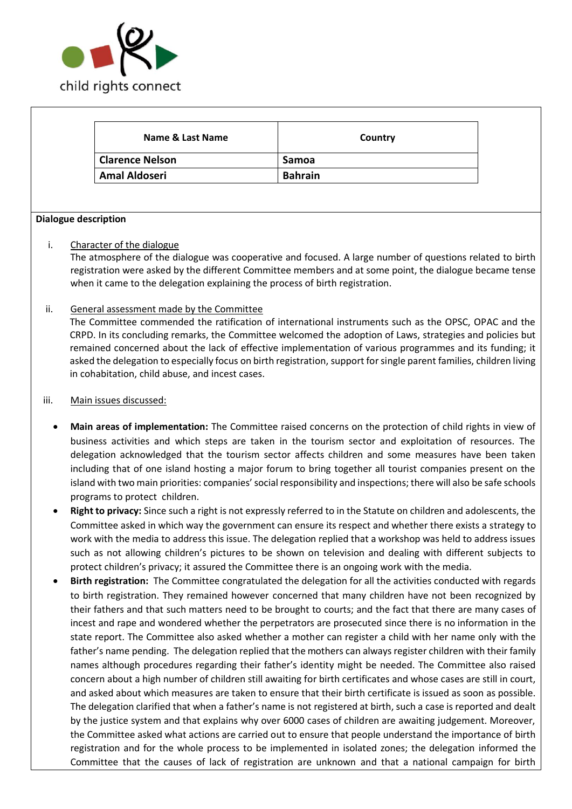

| Name & Last Name       | Country        |
|------------------------|----------------|
| <b>Clarence Nelson</b> | Samoa          |
| <b>Amal Aldoseri</b>   | <b>Bahrain</b> |

### **Dialogue description**

### i. Character of the dialogue

The atmosphere of the dialogue was cooperative and focused. A large number of questions related to birth registration were asked by the different Committee members and at some point, the dialogue became tense when it came to the delegation explaining the process of birth registration.

### ii. General assessment made by the Committee

The Committee commended the ratification of international instruments such as the OPSC, OPAC and the CRPD. In its concluding remarks, the Committee welcomed the adoption of Laws, strategies and policies but remained concerned about the lack of effective implementation of various programmes and its funding; it asked the delegation to especially focus on birth registration, support for single parent families, children living in cohabitation, child abuse, and incest cases.

#### iii. Main issues discussed:

- **Main areas of implementation:** The Committee raised concerns on the protection of child rights in view of business activities and which steps are taken in the tourism sector and exploitation of resources. The delegation acknowledged that the tourism sector affects children and some measures have been taken including that of one island hosting a major forum to bring together all tourist companies present on the island with two main priorities: companies' social responsibility and inspections; there will also be safe schools programs to protect children.
- **Right to privacy:** Since such a right is not expressly referred to in the Statute on children and adolescents, the Committee asked in which way the government can ensure its respect and whether there exists a strategy to work with the media to address this issue. The delegation replied that a workshop was held to address issues such as not allowing children's pictures to be shown on television and dealing with different subjects to protect children's privacy; it assured the Committee there is an ongoing work with the media.
- **Birth registration:** The Committee congratulated the delegation for all the activities conducted with regards to birth registration. They remained however concerned that many children have not been recognized by their fathers and that such matters need to be brought to courts; and the fact that there are many cases of incest and rape and wondered whether the perpetrators are prosecuted since there is no information in the state report. The Committee also asked whether a mother can register a child with her name only with the father's name pending. The delegation replied that the mothers can always register children with their family names although procedures regarding their father's identity might be needed. The Committee also raised concern about a high number of children still awaiting for birth certificates and whose cases are still in court, and asked about which measures are taken to ensure that their birth certificate is issued as soon as possible. The delegation clarified that when a father's name is not registered at birth, such a case is reported and dealt by the justice system and that explains why over 6000 cases of children are awaiting judgement. Moreover, the Committee asked what actions are carried out to ensure that people understand the importance of birth registration and for the whole process to be implemented in isolated zones; the delegation informed the Committee that the causes of lack of registration are unknown and that a national campaign for birth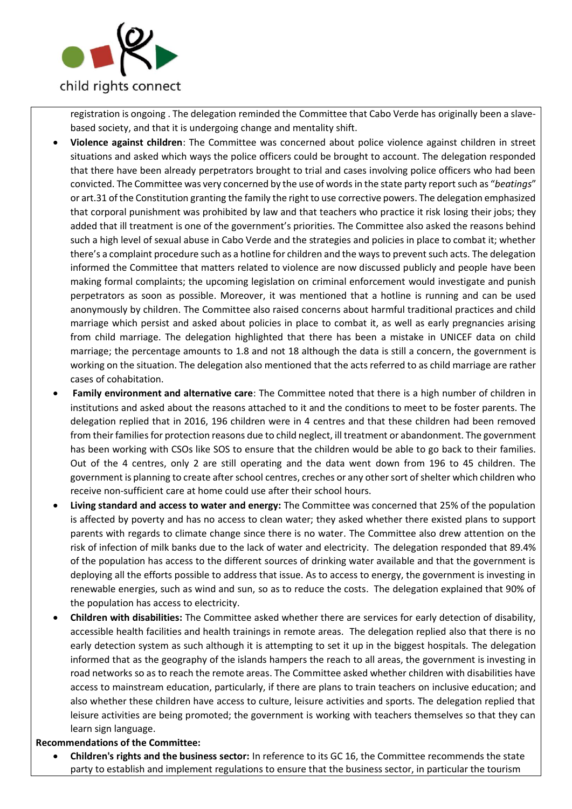

registration is ongoing . The delegation reminded the Committee that Cabo Verde has originally been a slavebased society, and that it is undergoing change and mentality shift.

- **Violence against children**: The Committee was concerned about police violence against children in street situations and asked which ways the police officers could be brought to account. The delegation responded that there have been already perpetrators brought to trial and cases involving police officers who had been convicted. The Committee was very concerned by the use of words in the state party report such as "*beatings*" or art.31 of the Constitution granting the family the right to use corrective powers. The delegation emphasized that corporal punishment was prohibited by law and that teachers who practice it risk losing their jobs; they added that ill treatment is one of the government's priorities. The Committee also asked the reasons behind such a high level of sexual abuse in Cabo Verde and the strategies and policies in place to combat it; whether there's a complaint procedure such as a hotline for children and the ways to prevent such acts. The delegation informed the Committee that matters related to violence are now discussed publicly and people have been making formal complaints; the upcoming legislation on criminal enforcement would investigate and punish perpetrators as soon as possible. Moreover, it was mentioned that a hotline is running and can be used anonymously by children. The Committee also raised concerns about harmful traditional practices and child marriage which persist and asked about policies in place to combat it, as well as early pregnancies arising from child marriage. The delegation highlighted that there has been a mistake in UNICEF data on child marriage; the percentage amounts to 1.8 and not 18 although the data is still a concern, the government is working on the situation. The delegation also mentioned that the acts referred to as child marriage are rather cases of cohabitation.
- **Family environment and alternative care**: The Committee noted that there is a high number of children in institutions and asked about the reasons attached to it and the conditions to meet to be foster parents. The delegation replied that in 2016, 196 children were in 4 centres and that these children had been removed from their families for protection reasons due to child neglect, ill treatment or abandonment. The government has been working with CSOs like SOS to ensure that the children would be able to go back to their families. Out of the 4 centres, only 2 are still operating and the data went down from 196 to 45 children. The government is planning to create after school centres, creches or any other sort of shelter which children who receive non-sufficient care at home could use after their school hours.
- **Living standard and access to water and energy:** The Committee was concerned that 25% of the population is affected by poverty and has no access to clean water; they asked whether there existed plans to support parents with regards to climate change since there is no water. The Committee also drew attention on the risk of infection of milk banks due to the lack of water and electricity. The delegation responded that 89.4% of the population has access to the different sources of drinking water available and that the government is deploying all the efforts possible to address that issue. As to access to energy, the government is investing in renewable energies, such as wind and sun, so as to reduce the costs. The delegation explained that 90% of the population has access to electricity.
- **Children with disabilities:** The Committee asked whether there are services for early detection of disability, accessible health facilities and health trainings in remote areas. The delegation replied also that there is no early detection system as such although it is attempting to set it up in the biggest hospitals. The delegation informed that as the geography of the islands hampers the reach to all areas, the government is investing in road networks so as to reach the remote areas. The Committee asked whether children with disabilities have access to mainstream education, particularly, if there are plans to train teachers on inclusive education; and also whether these children have access to culture, leisure activities and sports. The delegation replied that leisure activities are being promoted; the government is working with teachers themselves so that they can learn sign language.

#### **Recommendations of the Committee:**

• **Children's rights and the business sector:** In reference to its GC 16, the Committee recommends the state party to establish and implement regulations to ensure that the business sector, in particular the tourism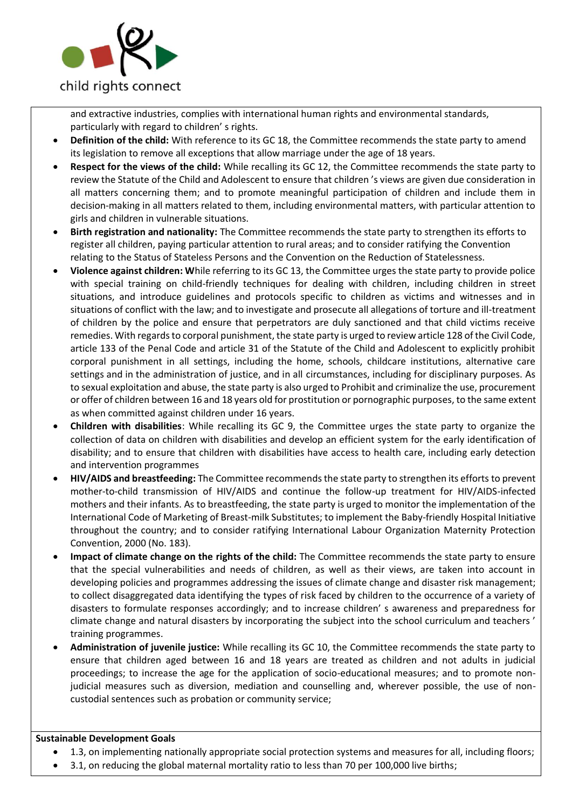

and extractive industries, complies with international human rights and environmental standards, particularly with regard to children' s rights.

- **Definition of the child:** With reference to its GC 18, the Committee recommends the state party to amend its legislation to remove all exceptions that allow marriage under the age of 18 years.
- **Respect for the views of the child:** While recalling its GC 12, the Committee recommends the state party to review the Statute of the Child and Adolescent to ensure that children 's views are given due consideration in all matters concerning them; and to promote meaningful participation of children and include them in decision-making in all matters related to them, including environmental matters, with particular attention to girls and children in vulnerable situations.
- **Birth registration and nationality:** The Committee recommends the state party to strengthen its efforts to register all children, paying particular attention to rural areas; and to consider ratifying the Convention relating to the Status of Stateless Persons and the Convention on the Reduction of Statelessness.
- **Violence against children: W**hile referring to its GC 13, the Committee urges the state party to provide police with special training on child-friendly techniques for dealing with children, including children in street situations, and introduce guidelines and protocols specific to children as victims and witnesses and in situations of conflict with the law; and to investigate and prosecute all allegations of torture and ill-treatment of children by the police and ensure that perpetrators are duly sanctioned and that child victims receive remedies. With regards to corporal punishment, the state party is urged to review article 128 of the Civil Code, article 133 of the Penal Code and article 31 of the Statute of the Child and Adolescent to explicitly prohibit corporal punishment in all settings, including the home, schools, childcare institutions, alternative care settings and in the administration of justice, and in all circumstances, including for disciplinary purposes. As to sexual exploitation and abuse, the state party is also urged to Prohibit and criminalize the use, procurement or offer of children between 16 and 18 years old for prostitution or pornographic purposes, to the same extent as when committed against children under 16 years.
- **Children with disabilities**: While recalling its GC 9, the Committee urges the state party to organize the collection of data on children with disabilities and develop an efficient system for the early identification of disability; and to ensure that children with disabilities have access to health care, including early detection and intervention programmes
- **HIV/AIDS and breastfeeding:** The Committee recommends the state party to strengthen its efforts to prevent mother-to-child transmission of HIV/AIDS and continue the follow-up treatment for HIV/AIDS-infected mothers and their infants. As to breastfeeding, the state party is urged to monitor the implementation of the International Code of Marketing of Breast-milk Substitutes; to implement the Baby-friendly Hospital Initiative throughout the country; and to consider ratifying International Labour Organization Maternity Protection Convention, 2000 (No. 183).
- **Impact of climate change on the rights of the child:** The Committee recommends the state party to ensure that the special vulnerabilities and needs of children, as well as their views, are taken into account in developing policies and programmes addressing the issues of climate change and disaster risk management; to collect disaggregated data identifying the types of risk faced by children to the occurrence of a variety of disasters to formulate responses accordingly; and to increase children' s awareness and preparedness for climate change and natural disasters by incorporating the subject into the school curriculum and teachers ' training programmes.
- **Administration of juvenile justice:** While recalling its GC 10, the Committee recommends the state party to ensure that children aged between 16 and 18 years are treated as children and not adults in judicial proceedings; to increase the age for the application of socio-educational measures; and to promote nonjudicial measures such as diversion, mediation and counselling and, wherever possible, the use of noncustodial sentences such as probation or community service;

#### **Sustainable Development Goals**

- 1.3, on implementing nationally appropriate social protection systems and measures for all, including floors;
- 3.1, on reducing the global maternal mortality ratio to less than 70 per 100,000 live births;